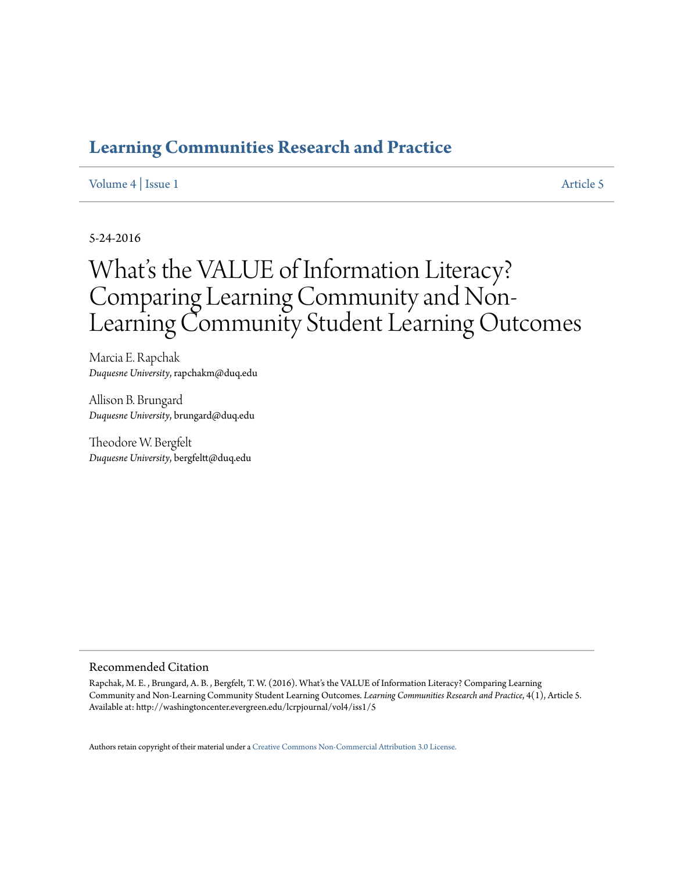# **[Learning Communities Research and Practice](http://washingtoncenter.evergreen.edu/lcrpjournal)**

## [Volume 4](http://washingtoncenter.evergreen.edu/lcrpjournal/vol4) | [Issue 1](http://washingtoncenter.evergreen.edu/lcrpjournal/vol4/iss1) [Article 5](http://washingtoncenter.evergreen.edu/lcrpjournal/vol4/iss1/5)

## 5-24-2016

# What's the VALUE of Information Literacy? Comparing Learning Community and Non-Learning Community Student Learning Outcomes

Marcia E. Rapchak *Duquesne University*, rapchakm@duq.edu

Allison B. Brungard *Duquesne University*, brungard@duq.edu

Theodore W. Bergfelt *Duquesne University*, bergfeltt@duq.edu

#### Recommended Citation

Rapchak, M. E. , Brungard, A. B. , Bergfelt, T. W. (2016). What's the VALUE of Information Literacy? Comparing Learning Community and Non-Learning Community Student Learning Outcomes. *Learning Communities Research and Practice*, 4(1), Article 5. Available at: http://washingtoncenter.evergreen.edu/lcrpjournal/vol4/iss1/5

Authors retain copyright of their material under a [Creative Commons Non-Commercial Attribution 3.0 License.](http://creativecommons.org/licenses/by-nc/3.0/)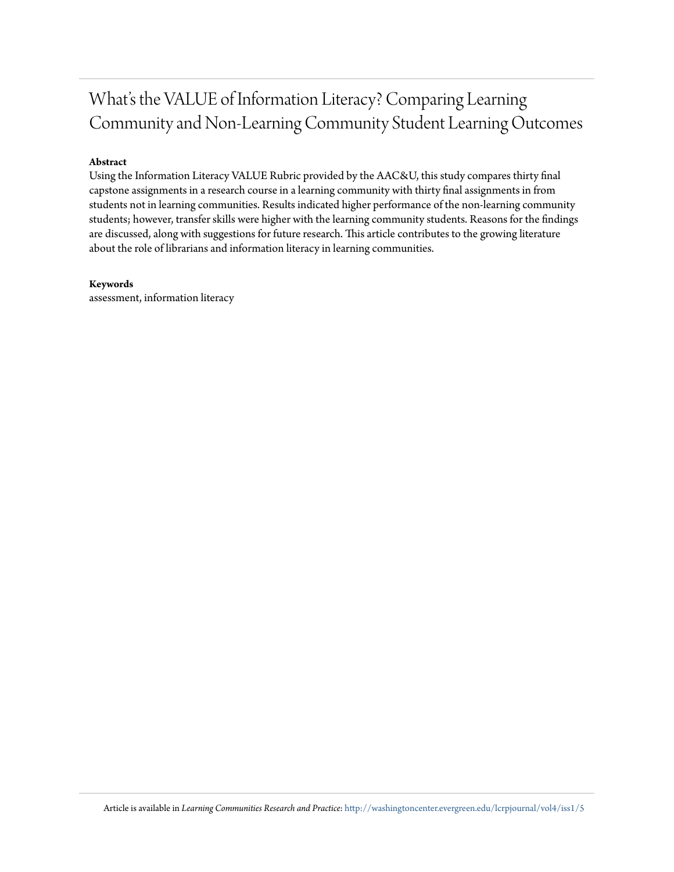# What's the VALUE of Information Literacy? Comparing Learning Community and Non-Learning Community Student Learning Outcomes

## **Abstract**

Using the Information Literacy VALUE Rubric provided by the AAC&U, this study compares thirty final capstone assignments in a research course in a learning community with thirty final assignments in from students not in learning communities. Results indicated higher performance of the non-learning community students; however, transfer skills were higher with the learning community students. Reasons for the findings are discussed, along with suggestions for future research. This article contributes to the growing literature about the role of librarians and information literacy in learning communities.

#### **Keywords**

assessment, information literacy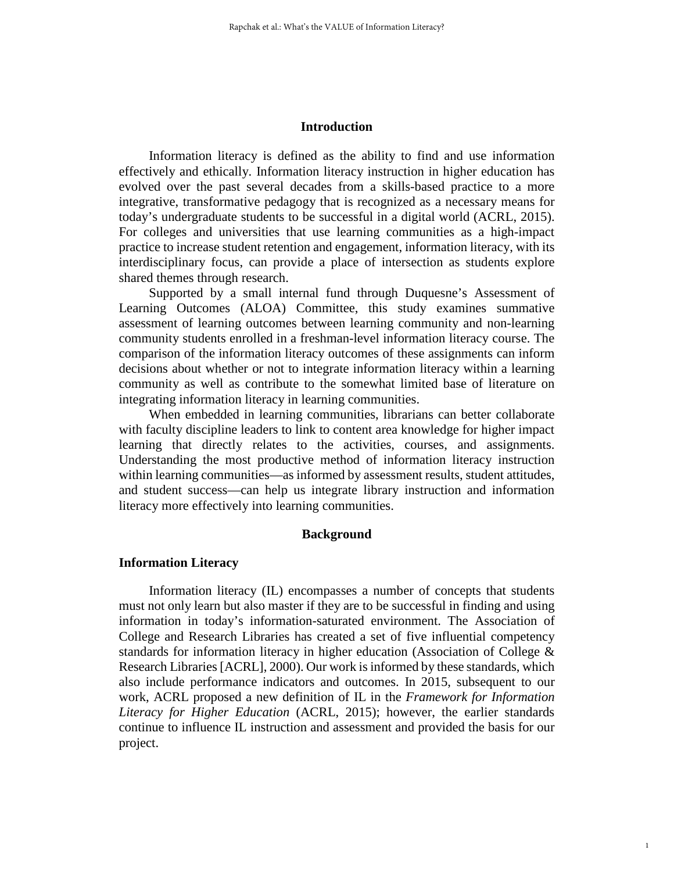#### **Introduction**

Information literacy is defined as the ability to find and use information effectively and ethically. Information literacy instruction in higher education has evolved over the past several decades from a skills-based practice to a more integrative, transformative pedagogy that is recognized as a necessary means for today's undergraduate students to be successful in a digital world (ACRL, 2015). For colleges and universities that use learning communities as a high-impact practice to increase student retention and engagement, information literacy, with its interdisciplinary focus, can provide a place of intersection as students explore shared themes through research.

Supported by a small internal fund through Duquesne's Assessment of Learning Outcomes (ALOA) Committee, this study examines summative assessment of learning outcomes between learning community and non-learning community students enrolled in a freshman-level information literacy course. The comparison of the information literacy outcomes of these assignments can inform decisions about whether or not to integrate information literacy within a learning community as well as contribute to the somewhat limited base of literature on integrating information literacy in learning communities.

When embedded in learning communities, librarians can better collaborate with faculty discipline leaders to link to content area knowledge for higher impact learning that directly relates to the activities, courses, and assignments. Understanding the most productive method of information literacy instruction within learning communities—as informed by assessment results, student attitudes, and student success—can help us integrate library instruction and information literacy more effectively into learning communities.

#### **Background**

#### **Information Literacy**

Information literacy (IL) encompasses a number of concepts that students must not only learn but also master if they are to be successful in finding and using information in today's information-saturated environment. The Association of College and Research Libraries has created a set of five influential competency standards for information literacy in higher education (Association of College & Research Libraries [ACRL], 2000). Our work is informed by these standards, which also include performance indicators and outcomes. In 2015, subsequent to our work, ACRL proposed a new definition of IL in the *Framework for Information Literacy for Higher Education* (ACRL, 2015); however, the earlier standards continue to influence IL instruction and assessment and provided the basis for our project.

1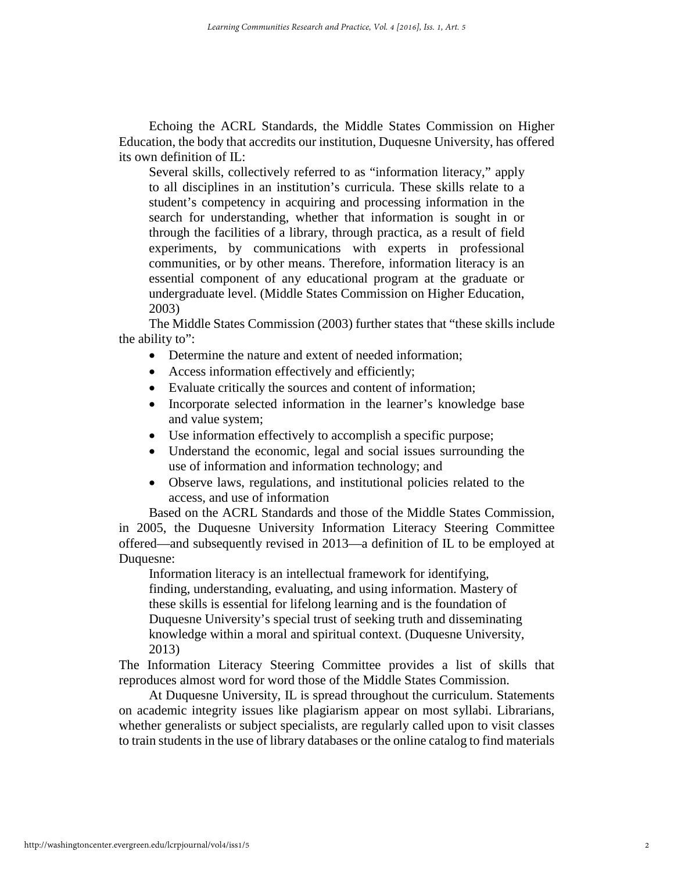Echoing the ACRL Standards, the Middle States Commission on Higher Education, the body that accredits our institution, Duquesne University, has offered its own definition of IL:

Several skills, collectively referred to as "information literacy," apply to all disciplines in an institution's curricula. These skills relate to a student's competency in acquiring and processing information in the search for understanding, whether that information is sought in or through the facilities of a library, through practica, as a result of field experiments, by communications with experts in professional communities, or by other means. Therefore, information literacy is an essential component of any educational program at the graduate or undergraduate level. (Middle States Commission on Higher Education, 2003)

The Middle States Commission (2003) further states that "these skills include the ability to":

- Determine the nature and extent of needed information;
- Access information effectively and efficiently;
- Evaluate critically the sources and content of information;
- Incorporate selected information in the learner's knowledge base and value system;
- Use information effectively to accomplish a specific purpose;
- Understand the economic, legal and social issues surrounding the use of information and information technology; and
- Observe laws, regulations, and institutional policies related to the access, and use of information

Based on the ACRL Standards and those of the Middle States Commission, in 2005, the Duquesne University Information Literacy Steering Committee offered—and subsequently revised in 2013—a definition of IL to be employed at Duquesne:

Information literacy is an intellectual framework for identifying, finding, understanding, evaluating, and using information. Mastery of these skills is essential for lifelong learning and is the foundation of Duquesne University's special trust of seeking truth and disseminating knowledge within a moral and spiritual context. (Duquesne University, 2013)

The Information Literacy Steering Committee provides a list of skills that reproduces almost word for word those of the Middle States Commission.

At Duquesne University, IL is spread throughout the curriculum. Statements on academic integrity issues like plagiarism appear on most syllabi. Librarians, whether generalists or subject specialists, are regularly called upon to visit classes to train students in the use of library databases or the online catalog to find materials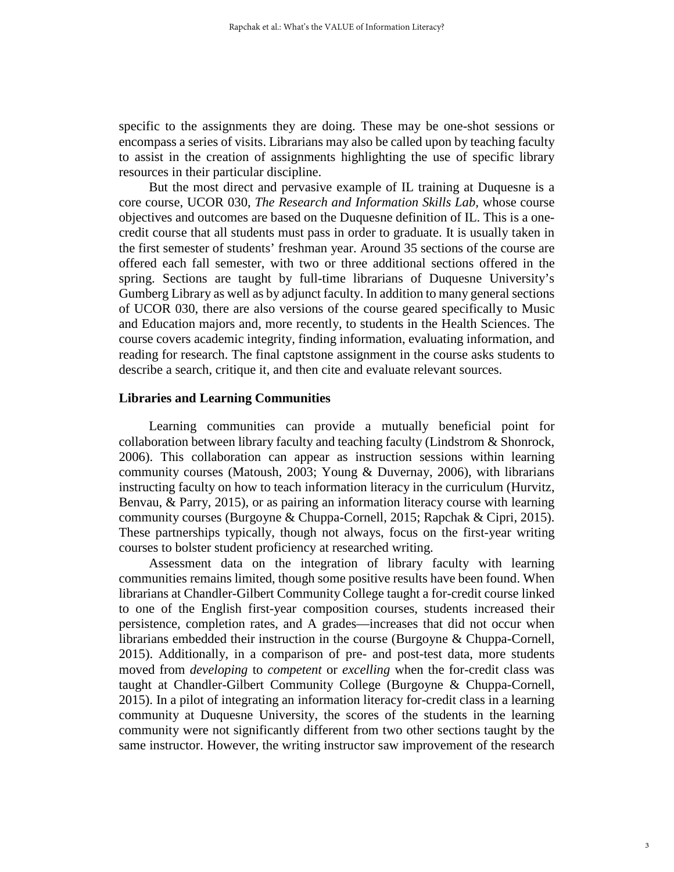specific to the assignments they are doing. These may be one-shot sessions or encompass a series of visits. Librarians may also be called upon by teaching faculty to assist in the creation of assignments highlighting the use of specific library resources in their particular discipline.

But the most direct and pervasive example of IL training at Duquesne is a core course, UCOR 030, *The Research and Information Skills Lab,* whose course objectives and outcomes are based on the Duquesne definition of IL. This is a onecredit course that all students must pass in order to graduate. It is usually taken in the first semester of students' freshman year. Around 35 sections of the course are offered each fall semester, with two or three additional sections offered in the spring. Sections are taught by full-time librarians of Duquesne University's Gumberg Library as well as by adjunct faculty. In addition to many general sections of UCOR 030, there are also versions of the course geared specifically to Music and Education majors and, more recently, to students in the Health Sciences. The course covers academic integrity, finding information, evaluating information, and reading for research. The final captstone assignment in the course asks students to describe a search, critique it, and then cite and evaluate relevant sources.

## **Libraries and Learning Communities**

Learning communities can provide a mutually beneficial point for collaboration between library faculty and teaching faculty (Lindstrom & Shonrock, 2006). This collaboration can appear as instruction sessions within learning community courses (Matoush, 2003; Young & Duvernay, 2006), with librarians instructing faculty on how to teach information literacy in the curriculum (Hurvitz, Benvau, & Parry, 2015), or as pairing an information literacy course with learning community courses (Burgoyne & Chuppa-Cornell, 2015; Rapchak & Cipri, 2015). These partnerships typically, though not always, focus on the first-year writing courses to bolster student proficiency at researched writing.

Assessment data on the integration of library faculty with learning communities remains limited, though some positive results have been found. When librarians at Chandler-Gilbert Community College taught a for-credit course linked to one of the English first-year composition courses, students increased their persistence, completion rates, and A grades—increases that did not occur when librarians embedded their instruction in the course (Burgoyne & Chuppa-Cornell, 2015). Additionally, in a comparison of pre- and post-test data, more students moved from *developing* to *competent* or *excelling* when the for-credit class was taught at Chandler-Gilbert Community College (Burgoyne & Chuppa-Cornell, 2015). In a pilot of integrating an information literacy for-credit class in a learning community at Duquesne University, the scores of the students in the learning community were not significantly different from two other sections taught by the same instructor. However, the writing instructor saw improvement of the research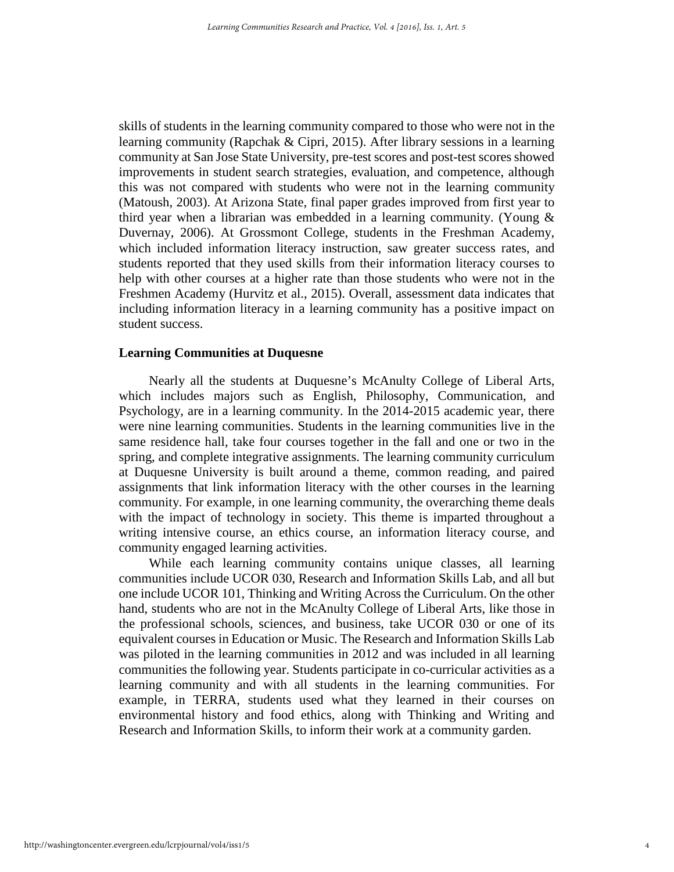skills of students in the learning community compared to those who were not in the learning community (Rapchak & Cipri, 2015). After library sessions in a learning community at San Jose State University, pre-test scores and post-test scores showed improvements in student search strategies, evaluation, and competence, although this was not compared with students who were not in the learning community (Matoush, 2003). At Arizona State, final paper grades improved from first year to third year when a librarian was embedded in a learning community. (Young & Duvernay, 2006). At Grossmont College, students in the Freshman Academy, which included information literacy instruction, saw greater success rates, and students reported that they used skills from their information literacy courses to help with other courses at a higher rate than those students who were not in the Freshmen Academy (Hurvitz et al., 2015). Overall, assessment data indicates that including information literacy in a learning community has a positive impact on student success.

#### **Learning Communities at Duquesne**

Nearly all the students at Duquesne's McAnulty College of Liberal Arts, which includes majors such as English, Philosophy, Communication, and Psychology, are in a learning community. In the 2014-2015 academic year, there were nine learning communities. Students in the learning communities live in the same residence hall, take four courses together in the fall and one or two in the spring, and complete integrative assignments. The learning community curriculum at Duquesne University is built around a theme, common reading, and paired assignments that link information literacy with the other courses in the learning community. For example, in one learning community, the overarching theme deals with the impact of technology in society. This theme is imparted throughout a writing intensive course, an ethics course, an information literacy course, and community engaged learning activities.

While each learning community contains unique classes, all learning communities include UCOR 030, Research and Information Skills Lab, and all but one include UCOR 101, Thinking and Writing Across the Curriculum. On the other hand, students who are not in the McAnulty College of Liberal Arts, like those in the professional schools, sciences, and business, take UCOR 030 or one of its equivalent courses in Education or Music. The Research and Information Skills Lab was piloted in the learning communities in 2012 and was included in all learning communities the following year. Students participate in co-curricular activities as a learning community and with all students in the learning communities. For example, in TERRA, students used what they learned in their courses on environmental history and food ethics, along with Thinking and Writing and Research and Information Skills, to inform their work at a community garden.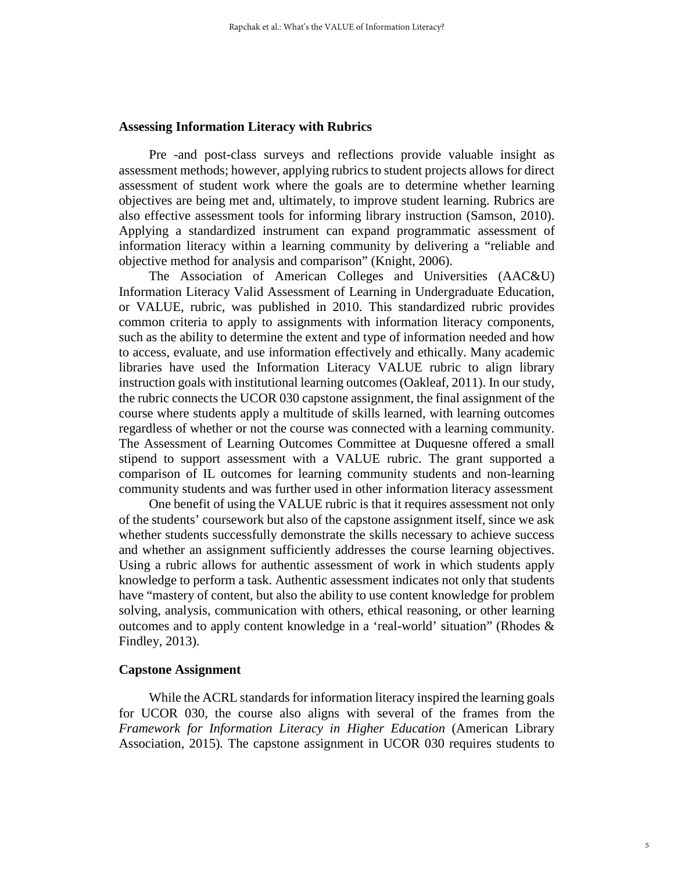#### **Assessing Information Literacy with Rubrics**

Pre -and post-class surveys and reflections provide valuable insight as assessment methods; however, applying rubrics to student projects allows for direct assessment of student work where the goals are to determine whether learning objectives are being met and, ultimately, to improve student learning. Rubrics are also effective assessment tools for informing library instruction (Samson, 2010). Applying a standardized instrument can expand programmatic assessment of information literacy within a learning community by delivering a "reliable and objective method for analysis and comparison" (Knight, 2006).

The Association of American Colleges and Universities (AAC&U) Information Literacy Valid Assessment of Learning in Undergraduate Education, or VALUE, rubric, was published in 2010. This standardized rubric provides common criteria to apply to assignments with information literacy components, such as the ability to determine the extent and type of information needed and how to access, evaluate, and use information effectively and ethically. Many academic libraries have used the Information Literacy VALUE rubric to align library instruction goals with institutional learning outcomes (Oakleaf, 2011). In our study, the rubric connects the UCOR 030 capstone assignment, the final assignment of the course where students apply a multitude of skills learned, with learning outcomes regardless of whether or not the course was connected with a learning community. The Assessment of Learning Outcomes Committee at Duquesne offered a small stipend to support assessment with a VALUE rubric. The grant supported a comparison of IL outcomes for learning community students and non-learning community students and was further used in other information literacy assessment

One benefit of using the VALUE rubric is that it requires assessment not only of the students' coursework but also of the capstone assignment itself, since we ask whether students successfully demonstrate the skills necessary to achieve success and whether an assignment sufficiently addresses the course learning objectives. Using a rubric allows for authentic assessment of work in which students apply knowledge to perform a task. Authentic assessment indicates not only that students have "mastery of content, but also the ability to use content knowledge for problem solving, analysis, communication with others, ethical reasoning, or other learning outcomes and to apply content knowledge in a 'real-world' situation" (Rhodes & Findley, 2013).

#### **Capstone Assignment**

While the ACRL standards for information literacy inspired the learning goals for UCOR 030, the course also aligns with several of the frames from the *Framework for Information Literacy in Higher Education* (American Library Association, 2015)*.* The capstone assignment in UCOR 030 requires students to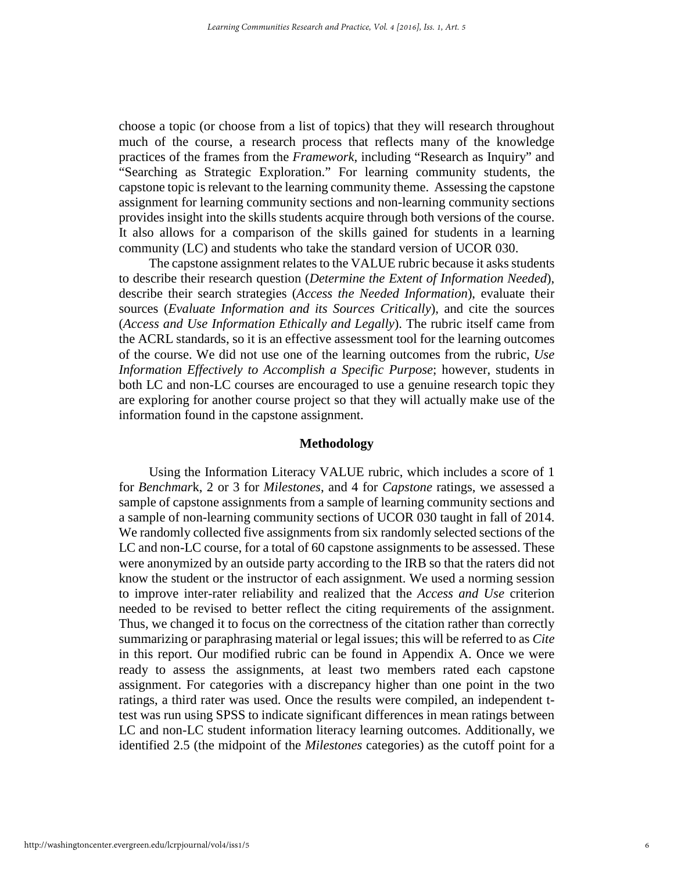choose a topic (or choose from a list of topics) that they will research throughout much of the course, a research process that reflects many of the knowledge practices of the frames from the *Framework*, including "Research as Inquiry" and "Searching as Strategic Exploration." For learning community students, the capstone topic is relevant to the learning community theme. Assessing the capstone assignment for learning community sections and non-learning community sections provides insight into the skills students acquire through both versions of the course. It also allows for a comparison of the skills gained for students in a learning community (LC) and students who take the standard version of UCOR 030.

The capstone assignment relates to the VALUE rubric because it asks students to describe their research question (*Determine the Extent of Information Needed*), describe their search strategies (*Access the Needed Information*), evaluate their sources (*Evaluate Information and its Sources Critically*), and cite the sources (*Access and Use Information Ethically and Legally*). The rubric itself came from the ACRL standards, so it is an effective assessment tool for the learning outcomes of the course. We did not use one of the learning outcomes from the rubric, *Use Information Effectively to Accomplish a Specific Purpose*; however, students in both LC and non-LC courses are encouraged to use a genuine research topic they are exploring for another course project so that they will actually make use of the information found in the capstone assignment.

#### **Methodology**

Using the Information Literacy VALUE rubric, which includes a score of 1 for *Benchmar*k, 2 or 3 for *Milestones*, and 4 for *Capstone* ratings, we assessed a sample of capstone assignments from a sample of learning community sections and a sample of non-learning community sections of UCOR 030 taught in fall of 2014. We randomly collected five assignments from six randomly selected sections of the LC and non-LC course, for a total of 60 capstone assignments to be assessed. These were anonymized by an outside party according to the IRB so that the raters did not know the student or the instructor of each assignment. We used a norming session to improve inter-rater reliability and realized that the *Access and Use* criterion needed to be revised to better reflect the citing requirements of the assignment. Thus, we changed it to focus on the correctness of the citation rather than correctly summarizing or paraphrasing material or legal issues; this will be referred to as *Cite* in this report. Our modified rubric can be found in Appendix A. Once we were ready to assess the assignments, at least two members rated each capstone assignment. For categories with a discrepancy higher than one point in the two ratings, a third rater was used. Once the results were compiled, an independent ttest was run using SPSS to indicate significant differences in mean ratings between LC and non-LC student information literacy learning outcomes. Additionally, we identified 2.5 (the midpoint of the *Milestones* categories) as the cutoff point for a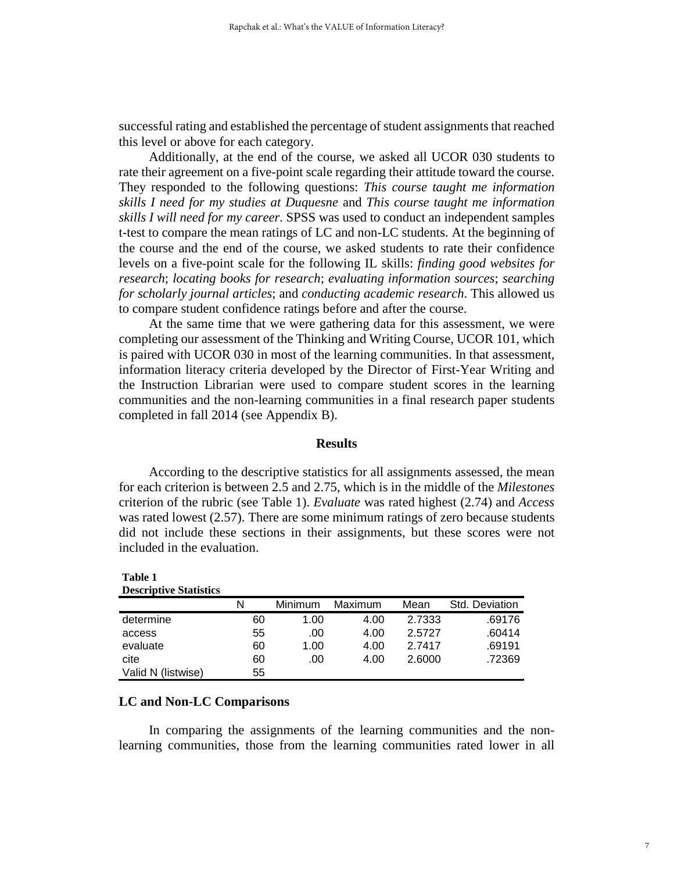successful rating and established the percentage of student assignments that reached this level or above for each category.

Additionally, at the end of the course, we asked all UCOR 030 students to rate their agreement on a five-point scale regarding their attitude toward the course. They responded to the following questions: *This course taught me information skills I need for my studies at Duquesne* and *This course taught me information skills I will need for my career*. SPSS was used to conduct an independent samples t-test to compare the mean ratings of LC and non-LC students. At the beginning of the course and the end of the course, we asked students to rate their confidence levels on a five-point scale for the following IL skills: *finding good websites for research*; *locating books for research*; *evaluating information sources*; *searching for scholarly journal articles*; and *conducting academic research*. This allowed us to compare student confidence ratings before and after the course.

At the same time that we were gathering data for this assessment, we were completing our assessment of the Thinking and Writing Course, UCOR 101, which is paired with UCOR 030 in most of the learning communities. In that assessment, information literacy criteria developed by the Director of First-Year Writing and the Instruction Librarian were used to compare student scores in the learning communities and the non-learning communities in a final research paper students completed in fall 2014 (see Appendix B).

### **Results**

According to the descriptive statistics for all assignments assessed, the mean for each criterion is between 2.5 and 2.75, which is in the middle of the *Milestones* criterion of the rubric (see Table 1). *Evaluate* was rated highest (2.74) and *Access* was rated lowest (2.57). There are some minimum ratings of zero because students did not include these sections in their assignments, but these scores were not included in the evaluation.

| <b>Descriptive Statistics</b> |    |         |         |        |                |
|-------------------------------|----|---------|---------|--------|----------------|
|                               | Ν  | Minimum | Maximum | Mean   | Std. Deviation |
| determine                     | 60 | 1.00    | 4.00    | 2.7333 | .69176         |
| access                        | 55 | .00     | 4.00    | 2.5727 | .60414         |
| evaluate                      | 60 | 1.00    | 4.00    | 2.7417 | .69191         |
| cite                          | 60 | .00     | 4.00    | 2.6000 | .72369         |
| Valid N (listwise)            | 55 |         |         |        |                |

## **LC and Non-LC Comparisons**

**Table 1**

In comparing the assignments of the learning communities and the nonlearning communities, those from the learning communities rated lower in all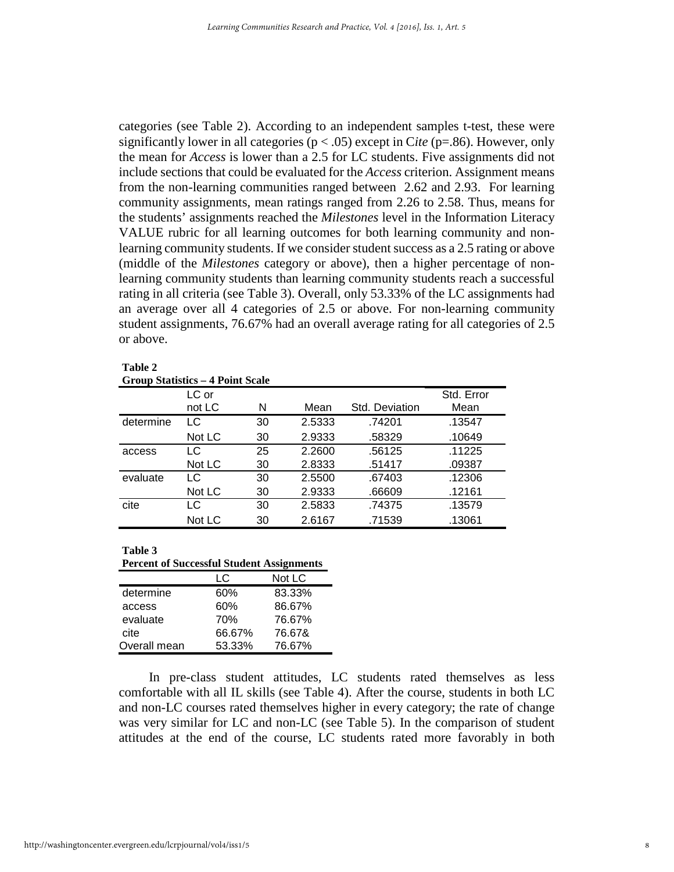categories (see Table 2). According to an independent samples t-test, these were significantly lower in all categories ( $p < .05$ ) except in *Cite* ( $p = .86$ ). However, only the mean for *Access* is lower than a 2.5 for LC students. Five assignments did not include sections that could be evaluated for the *Access* criterion. Assignment means from the non-learning communities ranged between 2.62 and 2.93. For learning community assignments, mean ratings ranged from 2.26 to 2.58. Thus, means for the students' assignments reached the *Milestones* level in the Information Literacy VALUE rubric for all learning outcomes for both learning community and nonlearning community students. If we consider student success as a 2.5 rating or above (middle of the *Milestones* category or above), then a higher percentage of nonlearning community students than learning community students reach a successful rating in all criteria (see Table 3). Overall, only 53.33% of the LC assignments had an average over all 4 categories of 2.5 or above. For non-learning community student assignments, 76.67% had an overall average rating for all categories of 2.5 or above.

| ante |  |
|------|--|
|------|--|

#### **Group Statistics – 4 Point Scale**

|           | LC or  |    |        |                | Std. Error |
|-----------|--------|----|--------|----------------|------------|
|           | not LC | N  | Mean   | Std. Deviation | Mean       |
| determine | LC     | 30 | 2.5333 | .74201         | .13547     |
|           | Not LC | 30 | 2.9333 | .58329         | .10649     |
| access    | LC     | 25 | 2.2600 | .56125         | .11225     |
|           | Not LC | 30 | 2.8333 | .51417         | .09387     |
| evaluate  | LC     | 30 | 2.5500 | .67403         | .12306     |
|           | Not LC | 30 | 2.9333 | .66609         | .12161     |
| cite      | LC     | 30 | 2.5833 | .74375         | .13579     |
|           | Not LC | 30 | 2.6167 | .71539         | .13061     |

**Table 3**

**Percent of Successful Student Assignments**

|              | ΙC     | Not LC |
|--------------|--------|--------|
| determine    | 60%    | 83.33% |
| access       | 60%    | 86.67% |
| evaluate     | 70%    | 76.67% |
| cite         | 66.67% | 76.67& |
| Overall mean | 53.33% | 76.67% |

In pre-class student attitudes, LC students rated themselves as less comfortable with all IL skills (see Table 4). After the course, students in both LC and non-LC courses rated themselves higher in every category; the rate of change was very similar for LC and non-LC (see Table 5). In the comparison of student attitudes at the end of the course, LC students rated more favorably in both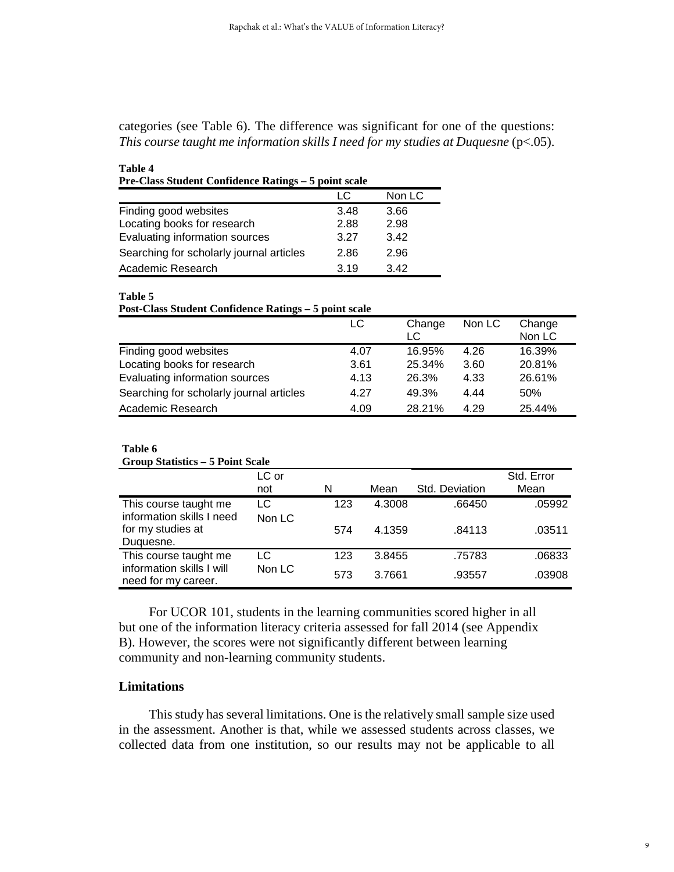categories (see Table 6). The difference was significant for one of the questions: *This course taught me information skills I need for my studies at Duquesne* (p<.05).

| Pre-Class Student Confidence Ratings - 5 point scale |      |        |  |  |  |
|------------------------------------------------------|------|--------|--|--|--|
|                                                      | LC   | Non LC |  |  |  |
| Finding good websites                                | 3.48 | 3.66   |  |  |  |
| Locating books for research                          | 2.88 | 2.98   |  |  |  |
| Evaluating information sources                       | 3.27 | 3.42   |  |  |  |
| Searching for scholarly journal articles             | 2.86 | 2.96   |  |  |  |
| Academic Research                                    | 3.19 | 342    |  |  |  |

**Table 5**

**Table 4**

| <b>Post-Class Student Confidence Ratings - 5 point scale</b> |  |  |  |
|--------------------------------------------------------------|--|--|--|
|--------------------------------------------------------------|--|--|--|

|                                          | LC   | Change<br>LC | Non LC | Change<br>Non LC |
|------------------------------------------|------|--------------|--------|------------------|
| Finding good websites                    | 4.07 | 16.95%       | 4.26   | 16.39%           |
| Locating books for research              | 3.61 | 25.34%       | 3.60   | 20.81%           |
| Evaluating information sources           | 4.13 | 26.3%        | 4.33   | 26.61%           |
| Searching for scholarly journal articles | 4.27 | 49.3%        | 4.44   | 50%              |
| Academic Research                        | 4.09 | 28.21%       | 4.29   | 25.44%           |

#### **Table 6**

#### **Group Statistics – 5 Point Scale**

|                                                    | LC or  |     |        |                | Std. Error |
|----------------------------------------------------|--------|-----|--------|----------------|------------|
|                                                    | not    | N   | Mean   | Std. Deviation | Mean       |
| This course taught me<br>information skills I need | LC     | 123 | 4.3008 | .66450         | .05992     |
| for my studies at<br>Duguesne.                     | Non LC | 574 | 4.1359 | .84113         | .03511     |
| This course taught me                              | LC     | 123 | 3.8455 | .75783         | .06833     |
| information skills I will<br>need for my career.   | Non LC | 573 | 3.7661 | .93557         | .03908     |

For UCOR 101, students in the learning communities scored higher in all but one of the information literacy criteria assessed for fall 2014 (see Appendix B). However, the scores were not significantly different between learning community and non-learning community students.

#### **Limitations**

This study has several limitations. One is the relatively small sample size used in the assessment. Another is that, while we assessed students across classes, we collected data from one institution, so our results may not be applicable to all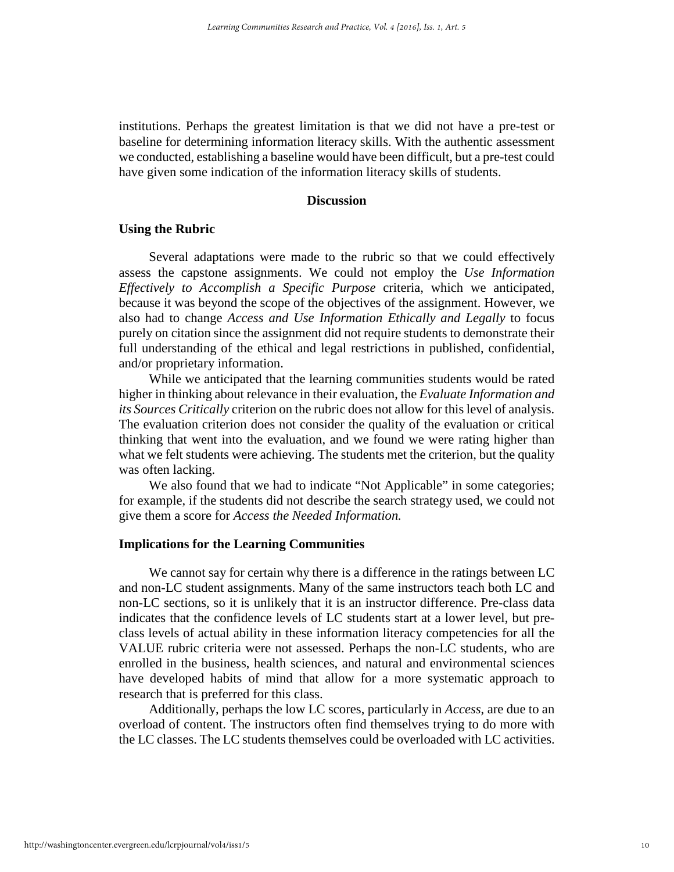institutions. Perhaps the greatest limitation is that we did not have a pre-test or baseline for determining information literacy skills. With the authentic assessment we conducted, establishing a baseline would have been difficult, but a pre-test could have given some indication of the information literacy skills of students.

## **Discussion**

## **Using the Rubric**

Several adaptations were made to the rubric so that we could effectively assess the capstone assignments. We could not employ the *Use Information Effectively to Accomplish a Specific Purpose* criteria, which we anticipated, because it was beyond the scope of the objectives of the assignment. However, we also had to change *Access and Use Information Ethically and Legally* to focus purely on citation since the assignment did not require students to demonstrate their full understanding of the ethical and legal restrictions in published, confidential, and/or proprietary information.

While we anticipated that the learning communities students would be rated higher in thinking about relevance in their evaluation, the *Evaluate Information and its Sources Critically* criterion on the rubric does not allow for this level of analysis. The evaluation criterion does not consider the quality of the evaluation or critical thinking that went into the evaluation, and we found we were rating higher than what we felt students were achieving. The students met the criterion, but the quality was often lacking.

We also found that we had to indicate "Not Applicable" in some categories; for example, if the students did not describe the search strategy used, we could not give them a score for *Access the Needed Information.* 

## **Implications for the Learning Communities**

We cannot say for certain why there is a difference in the ratings between LC and non-LC student assignments. Many of the same instructors teach both LC and non-LC sections, so it is unlikely that it is an instructor difference. Pre-class data indicates that the confidence levels of LC students start at a lower level, but preclass levels of actual ability in these information literacy competencies for all the VALUE rubric criteria were not assessed. Perhaps the non-LC students, who are enrolled in the business, health sciences, and natural and environmental sciences have developed habits of mind that allow for a more systematic approach to research that is preferred for this class.

Additionally, perhaps the low LC scores, particularly in *Access*, are due to an overload of content. The instructors often find themselves trying to do more with the LC classes. The LC students themselves could be overloaded with LC activities.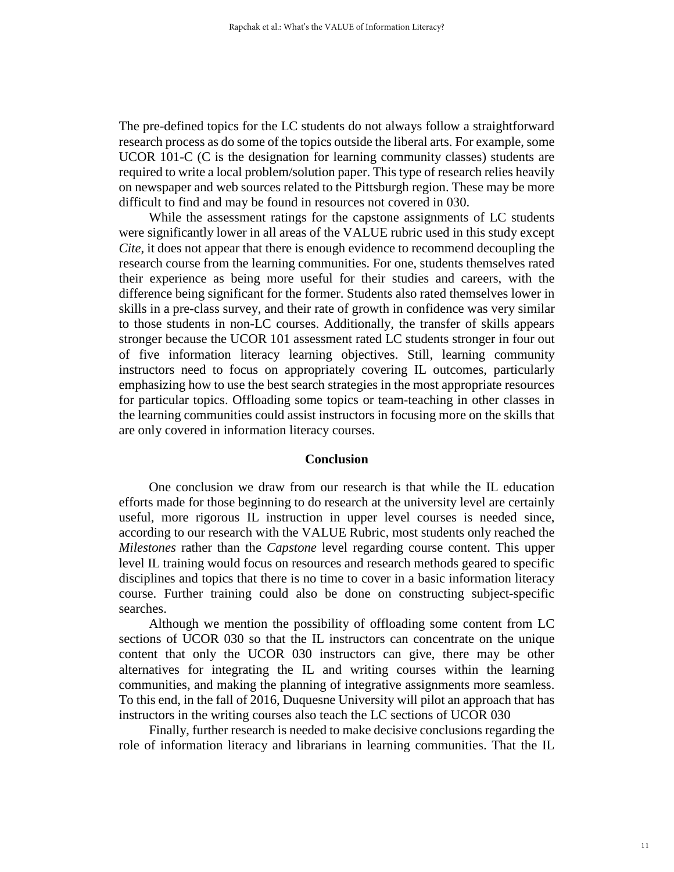The pre-defined topics for the LC students do not always follow a straightforward research process as do some of the topics outside the liberal arts. For example, some UCOR 101-C (C is the designation for learning community classes) students are required to write a local problem/solution paper. This type of research relies heavily on newspaper and web sources related to the Pittsburgh region. These may be more difficult to find and may be found in resources not covered in 030.

While the assessment ratings for the capstone assignments of LC students were significantly lower in all areas of the VALUE rubric used in this study except *Cite*, it does not appear that there is enough evidence to recommend decoupling the research course from the learning communities. For one, students themselves rated their experience as being more useful for their studies and careers, with the difference being significant for the former. Students also rated themselves lower in skills in a pre-class survey, and their rate of growth in confidence was very similar to those students in non-LC courses. Additionally, the transfer of skills appears stronger because the UCOR 101 assessment rated LC students stronger in four out of five information literacy learning objectives. Still, learning community instructors need to focus on appropriately covering IL outcomes, particularly emphasizing how to use the best search strategies in the most appropriate resources for particular topics. Offloading some topics or team-teaching in other classes in the learning communities could assist instructors in focusing more on the skills that are only covered in information literacy courses.

#### **Conclusion**

One conclusion we draw from our research is that while the IL education efforts made for those beginning to do research at the university level are certainly useful, more rigorous IL instruction in upper level courses is needed since, according to our research with the VALUE Rubric, most students only reached the *Milestones* rather than the *Capstone* level regarding course content. This upper level IL training would focus on resources and research methods geared to specific disciplines and topics that there is no time to cover in a basic information literacy course. Further training could also be done on constructing subject-specific searches.

Although we mention the possibility of offloading some content from LC sections of UCOR 030 so that the IL instructors can concentrate on the unique content that only the UCOR 030 instructors can give, there may be other alternatives for integrating the IL and writing courses within the learning communities, and making the planning of integrative assignments more seamless. To this end, in the fall of 2016, Duquesne University will pilot an approach that has instructors in the writing courses also teach the LC sections of UCOR 030

Finally, further research is needed to make decisive conclusions regarding the role of information literacy and librarians in learning communities. That the IL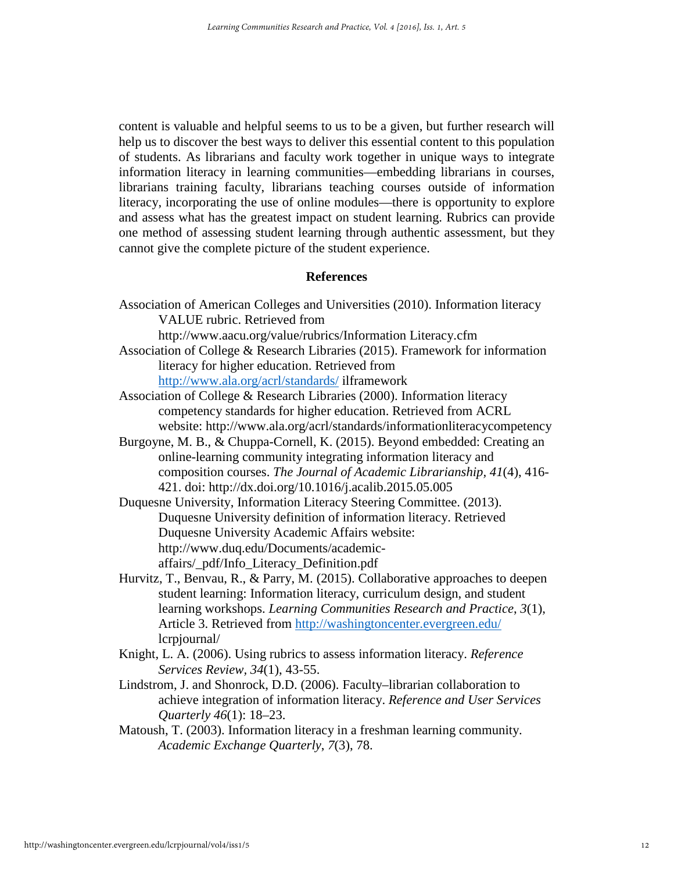content is valuable and helpful seems to us to be a given, but further research will help us to discover the best ways to deliver this essential content to this population of students. As librarians and faculty work together in unique ways to integrate information literacy in learning communities—embedding librarians in courses, librarians training faculty, librarians teaching courses outside of information literacy, incorporating the use of online modules—there is opportunity to explore and assess what has the greatest impact on student learning. Rubrics can provide one method of assessing student learning through authentic assessment, but they cannot give the complete picture of the student experience.

## **References**

Association of American Colleges and Universities (2010). Information literacy VALUE rubric. Retrieved from

http://www.aacu.org/value/rubrics/Information Literacy.cfm

- Association of College & Research Libraries (2015). Framework for information literacy for higher education. Retrieved from <http://www.ala.org/acrl/standards/> ilframework
- Association of College & Research Libraries (2000). Information literacy competency standards for higher education. Retrieved from ACRL website: http://www.ala.org/acrl/standards/informationliteracycompetency
- Burgoyne, M. B., & Chuppa-Cornell, K. (2015). Beyond embedded: Creating an online-learning community integrating information literacy and composition courses. *The Journal of Academic Librarianship, 41*(4), 416- 421. doi: http://dx.doi.org/10.1016/j.acalib.2015.05.005
- Duquesne University, Information Literacy Steering Committee. (2013). Duquesne University definition of information literacy. Retrieved Duquesne University Academic Affairs website: http://www.duq.edu/Documents/academicaffairs/\_pdf/Info\_Literacy\_Definition.pdf
- Hurvitz, T., Benvau, R., & Parry, M. (2015). Collaborative approaches to deepen student learning: Information literacy, curriculum design, and student learning workshops. *Learning Communities Research and Practice*, *3*(1), Article 3. Retrieved from<http://washingtoncenter.evergreen.edu/> lcrpjournal/
- Knight, L. A. (2006). Using rubrics to assess information literacy. *Reference Services Review, 34*(1), 43-55.
- Lindstrom, J. and Shonrock, D.D. (2006). Faculty–librarian collaboration to achieve integration of information literacy. *Reference and User Services Quarterly 46*(1): 18–23.
- Matoush, T. (2003). Information literacy in a freshman learning community. *Academic Exchange Quarterly*, *7*(3), 78.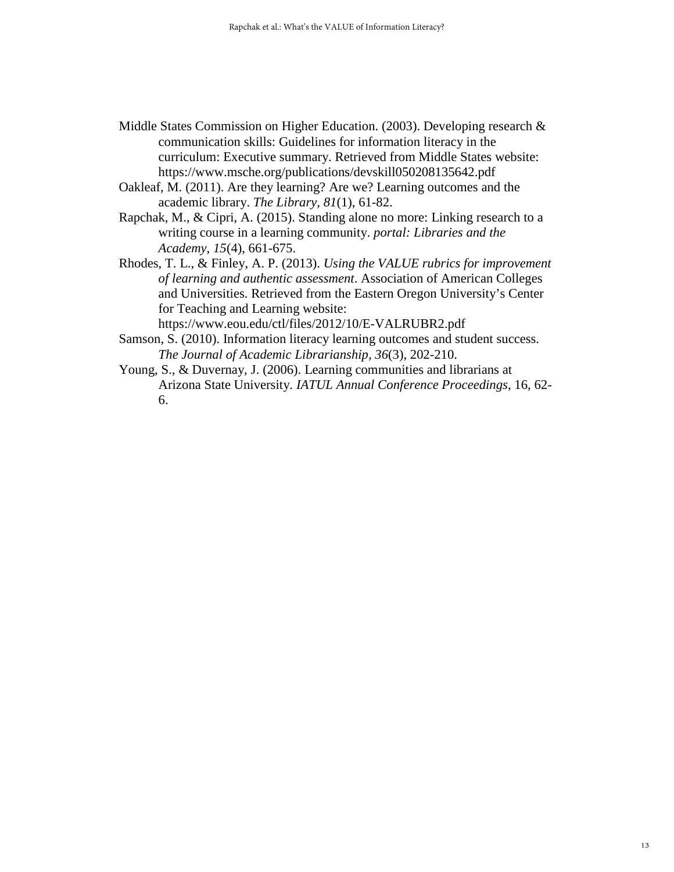- Middle States Commission on Higher Education. (2003). Developing research & communication skills: Guidelines for information literacy in the curriculum: Executive summary. Retrieved from Middle States website: https://www.msche.org/publications/devskill050208135642.pdf
- Oakleaf, M. (2011). Are they learning? Are we? Learning outcomes and the academic library. *The Library, 81*(1), 61-82.
- Rapchak, M., & Cipri, A. (2015). Standing alone no more: Linking research to a writing course in a learning community. *portal: Libraries and the Academy*, *15*(4), 661-675.
- Rhodes, T. L., & Finley, A. P. (2013). *Using the VALUE rubrics for improvement of learning and authentic assessment*. Association of American Colleges and Universities. Retrieved from the Eastern Oregon University's Center for Teaching and Learning website:

https://www.eou.edu/ctl/files/2012/10/E-VALRUBR2.pdf

- Samson, S. (2010). Information literacy learning outcomes and student success. *The Journal of Academic Librarianship, 36*(3), 202-210.
- Young, S., & Duvernay, J. (2006). Learning communities and librarians at Arizona State University. *IATUL Annual Conference Proceedings*, 16, 62- 6.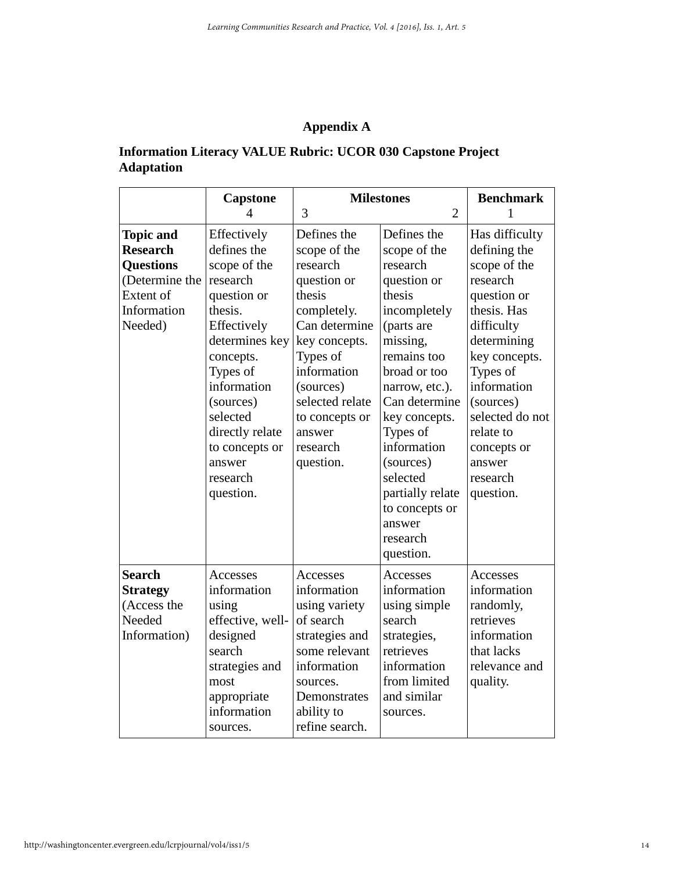# **Appendix A**

## **Information Literacy VALUE Rubric: UCOR 030 Capstone Project Adaptation**

|                                                                                                                  | <b>Capstone</b><br>Δ                                                                                                                                                                                                                                       | 3                                                                                                                                                                                                                                 | <b>Milestones</b><br>$\overline{2}$                                                                                                                                                                                                                                                                                        | <b>Benchmark</b><br>1                                                                                                                                                                                                                                            |
|------------------------------------------------------------------------------------------------------------------|------------------------------------------------------------------------------------------------------------------------------------------------------------------------------------------------------------------------------------------------------------|-----------------------------------------------------------------------------------------------------------------------------------------------------------------------------------------------------------------------------------|----------------------------------------------------------------------------------------------------------------------------------------------------------------------------------------------------------------------------------------------------------------------------------------------------------------------------|------------------------------------------------------------------------------------------------------------------------------------------------------------------------------------------------------------------------------------------------------------------|
| <b>Topic and</b><br><b>Research</b><br><b>Questions</b><br>(Determine the<br>Extent of<br>Information<br>Needed) | Effectively<br>defines the<br>scope of the<br>research<br>question or<br>thesis.<br>Effectively<br>determines key<br>concepts.<br>Types of<br>information<br>(sources)<br>selected<br>directly relate<br>to concepts or<br>answer<br>research<br>question. | Defines the<br>scope of the<br>research<br>question or<br>thesis<br>completely.<br>Can determine<br>key concepts.<br>Types of<br>information<br>(sources)<br>selected relate<br>to concepts or<br>answer<br>research<br>question. | Defines the<br>scope of the<br>research<br>question or<br>thesis<br>incompletely<br>(parts are<br>missing,<br>remains too<br>broad or too<br>narrow, etc.).<br>Can determine<br>key concepts.<br>Types of<br>information<br>(sources)<br>selected<br>partially relate<br>to concepts or<br>answer<br>research<br>question. | Has difficulty<br>defining the<br>scope of the<br>research<br>question or<br>thesis. Has<br>difficulty<br>determining<br>key concepts.<br>Types of<br>information<br>(sources)<br>selected do not<br>relate to<br>concepts or<br>answer<br>research<br>question. |
| <b>Search</b><br><b>Strategy</b><br>(Access the<br>Needed<br>Information)                                        | Accesses<br>information<br>using<br>effective, well-<br>designed<br>search<br>strategies and<br>most<br>appropriate<br>information<br>sources.                                                                                                             | Accesses<br>information<br>using variety<br>of search<br>strategies and<br>some relevant<br>information<br>sources.<br>Demonstrates<br>ability to<br>refine search.                                                               | Accesses<br>information<br>using simple<br>search<br>strategies,<br>retrieves<br>information<br>from limited<br>and similar<br>sources.                                                                                                                                                                                    | Accesses<br>information<br>randomly,<br>retrieves<br>information<br>that lacks<br>relevance and<br>quality.                                                                                                                                                      |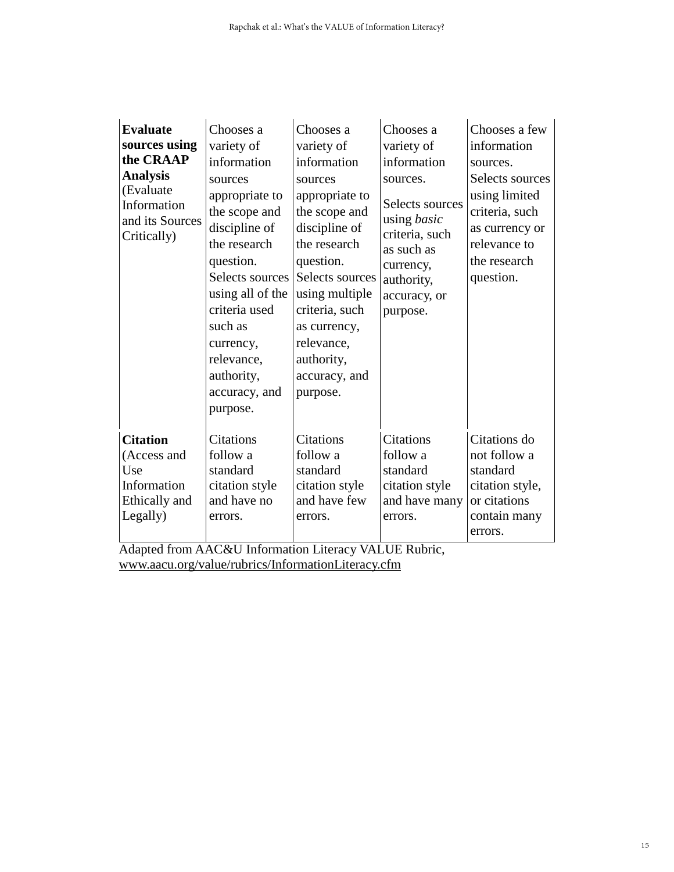| <b>Evaluate</b>                                                                   | Chooses a                                                                                                                                                                                            | Chooses a                                                                                                                                                                                                    | Chooses a                                                                                                                                | Chooses a few                                                                                                     |
|-----------------------------------------------------------------------------------|------------------------------------------------------------------------------------------------------------------------------------------------------------------------------------------------------|--------------------------------------------------------------------------------------------------------------------------------------------------------------------------------------------------------------|------------------------------------------------------------------------------------------------------------------------------------------|-------------------------------------------------------------------------------------------------------------------|
| sources using                                                                     | variety of                                                                                                                                                                                           | variety of                                                                                                                                                                                                   | variety of                                                                                                                               | information                                                                                                       |
| the CRAAP                                                                         | information                                                                                                                                                                                          | information                                                                                                                                                                                                  | information                                                                                                                              | sources.                                                                                                          |
| <b>Analysis</b><br>(Evaluate)<br>Information<br>and its Sources<br>Critically)    | sources<br>appropriate to<br>the scope and<br>discipline of<br>the research<br>question.<br>Selects sources<br>using all of the<br>criteria used<br>such as<br>currency,<br>relevance,<br>authority, | sources<br>appropriate to<br>the scope and<br>discipline of<br>the research<br>question.<br>Selects sources<br>using multiple<br>criteria, such<br>as currency,<br>relevance,<br>authority,<br>accuracy, and | sources.<br>Selects sources<br>using <i>basic</i><br>criteria, such<br>as such as<br>currency,<br>authority,<br>accuracy, or<br>purpose. | Selects sources<br>using limited<br>criteria, such<br>as currency or<br>relevance to<br>the research<br>question. |
|                                                                                   | accuracy, and                                                                                                                                                                                        | purpose.                                                                                                                                                                                                     |                                                                                                                                          |                                                                                                                   |
|                                                                                   | purpose.                                                                                                                                                                                             |                                                                                                                                                                                                              |                                                                                                                                          |                                                                                                                   |
| <b>Citation</b><br>(Access and<br>Use<br>Information<br>Ethically and<br>Legally) | <b>Citations</b><br>follow a<br>standard<br>citation style<br>and have no<br>errors.                                                                                                                 | <b>Citations</b><br>follow a<br>standard<br>citation style<br>and have few<br>errors.                                                                                                                        | <b>Citations</b><br>follow a<br>standard<br>citation style<br>and have many<br>errors.                                                   | Citations do<br>not follow a<br>standard<br>citation style,<br>or citations<br>contain many<br>errors.            |

Adapted from AAC&U Information Literacy VALUE Rubric, [www.aacu.org/value/rubrics/InformationLiteracy.cfm](http://www.aacu.org/value/rubrics/InformationLiteracy.cfm)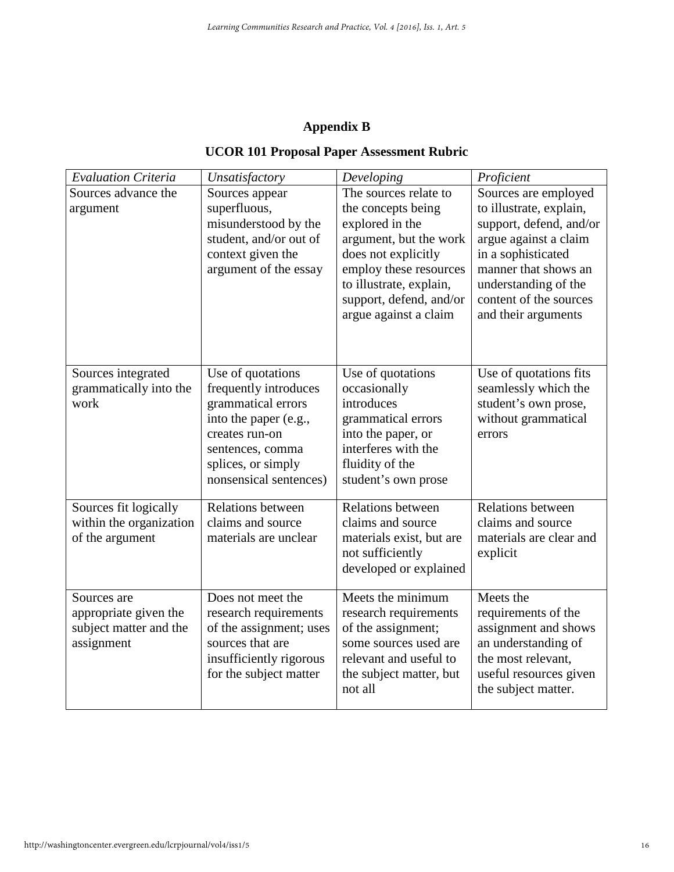# **Appendix B**

# **UCOR 101 Proposal Paper Assessment Rubric**

| <b>Evaluation Criteria</b>                                                   | Unsatisfactory                                                                                                                                                                  | Developing                                                                                                                                                                                                               | Proficient                                                                                                                                                                                                                 |
|------------------------------------------------------------------------------|---------------------------------------------------------------------------------------------------------------------------------------------------------------------------------|--------------------------------------------------------------------------------------------------------------------------------------------------------------------------------------------------------------------------|----------------------------------------------------------------------------------------------------------------------------------------------------------------------------------------------------------------------------|
| Sources advance the<br>argument                                              | Sources appear<br>superfluous,<br>misunderstood by the<br>student, and/or out of<br>context given the<br>argument of the essay                                                  | The sources relate to<br>the concepts being<br>explored in the<br>argument, but the work<br>does not explicitly<br>employ these resources<br>to illustrate, explain,<br>support, defend, and/or<br>argue against a claim | Sources are employed<br>to illustrate, explain,<br>support, defend, and/or<br>argue against a claim<br>in a sophisticated<br>manner that shows an<br>understanding of the<br>content of the sources<br>and their arguments |
| Sources integrated<br>grammatically into the<br>work                         | Use of quotations<br>frequently introduces<br>grammatical errors<br>into the paper (e.g.,<br>creates run-on<br>sentences, comma<br>splices, or simply<br>nonsensical sentences) | Use of quotations<br>occasionally<br>introduces<br>grammatical errors<br>into the paper, or<br>interferes with the<br>fluidity of the<br>student's own prose                                                             | Use of quotations fits<br>seamlessly which the<br>student's own prose,<br>without grammatical<br>errors                                                                                                                    |
| Sources fit logically<br>within the organization<br>of the argument          | <b>Relations between</b><br>claims and source<br>materials are unclear                                                                                                          | <b>Relations between</b><br>claims and source<br>materials exist, but are<br>not sufficiently<br>developed or explained                                                                                                  | <b>Relations between</b><br>claims and source<br>materials are clear and<br>explicit                                                                                                                                       |
| Sources are<br>appropriate given the<br>subject matter and the<br>assignment | Does not meet the<br>research requirements<br>of the assignment; uses<br>sources that are<br>insufficiently rigorous<br>for the subject matter                                  | Meets the minimum<br>research requirements<br>of the assignment;<br>some sources used are<br>relevant and useful to<br>the subject matter, but<br>not all                                                                | Meets the<br>requirements of the<br>assignment and shows<br>an understanding of<br>the most relevant,<br>useful resources given<br>the subject matter.                                                                     |